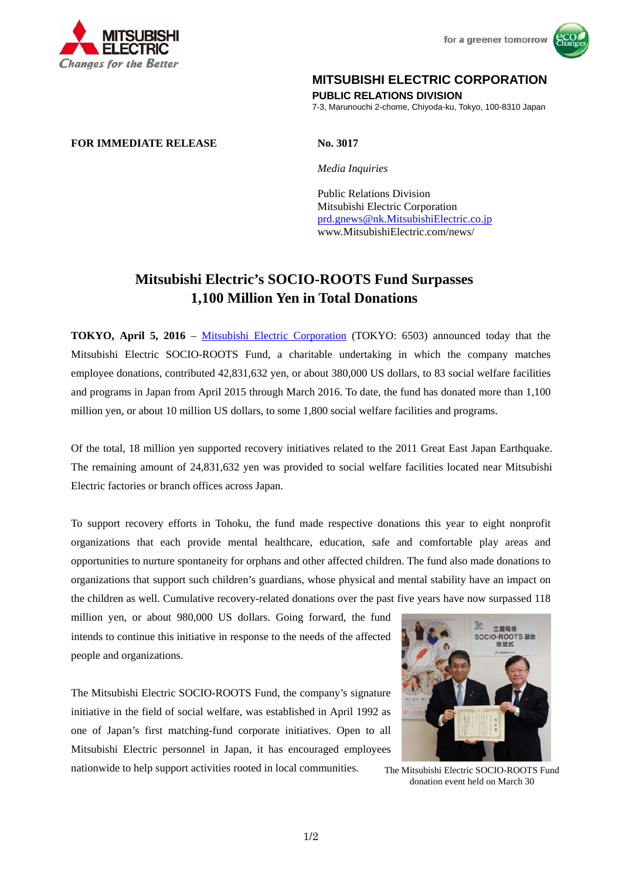



## **MITSUBISHI ELECTRIC CORPORATION**

**PUBLIC RELATIONS DIVISION** 

7-3, Marunouchi 2-chome, Chiyoda-ku, Tokyo, 100-8310 Japan

## **FOR IMMEDIATE RELEASE No. 3017**

 *Media Inquiries*

 Public Relations Division Mitsubishi Electric Corporation prd.gnews@nk.MitsubishiElectric.co.jp www.MitsubishiElectric.com/news/

## **Mitsubishi Electric's SOCIO-ROOTS Fund Surpasses 1,100 Million Yen in Total Donations**

**TOKYO, April 5, 2016** – Mitsubishi Electric Corporation (TOKYO: 6503) announced today that the Mitsubishi Electric SOCIO-ROOTS Fund, a charitable undertaking in which the company matches employee donations, contributed 42,831,632 yen, or about 380,000 US dollars, to 83 social welfare facilities and programs in Japan from April 2015 through March 2016. To date, the fund has donated more than 1,100 million yen, or about 10 million US dollars, to some 1,800 social welfare facilities and programs.

Of the total, 18 million yen supported recovery initiatives related to the 2011 Great East Japan Earthquake. The remaining amount of 24,831,632 yen was provided to social welfare facilities located near Mitsubishi Electric factories or branch offices across Japan.

To support recovery efforts in Tohoku, the fund made respective donations this year to eight nonprofit organizations that each provide mental healthcare, education, safe and comfortable play areas and opportunities to nurture spontaneity for orphans and other affected children. The fund also made donations to organizations that support such children's guardians, whose physical and mental stability have an impact on the children as well. Cumulative recovery-related donations over the past five years have now surpassed 118

million yen, or about 980,000 US dollars. Going forward, the fund intends to continue this initiative in response to the needs of the affected people and organizations.

The Mitsubishi Electric SOCIO-ROOTS Fund, the company's signature initiative in the field of social welfare, was established in April 1992 as one of Japan's first matching-fund corporate initiatives. Open to all Mitsubishi Electric personnel in Japan, it has encouraged employees nationwide to help support activities rooted in local communities.



The Mitsubishi Electric SOCIO-ROOTS Fund donation event held on March 30